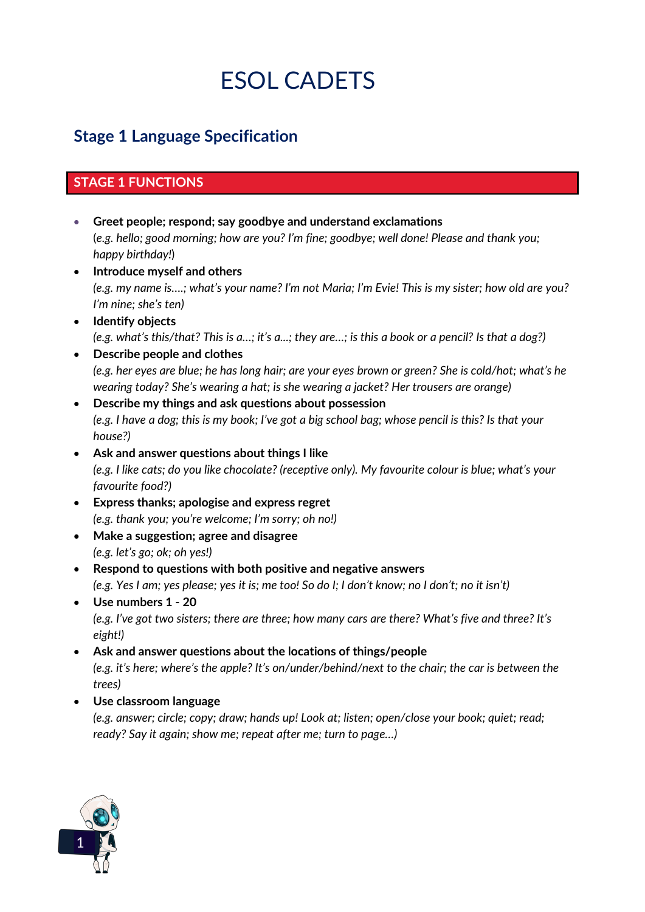# **FINCTIONS below for each stage of ESOL Cadets.**

# **Stage 1 Language Specification**

### **STAGE 1 FUNCTIONS**

- x **Greet people; respond; say goodbye and understand exclamations** (*e.g. hello; good morning; how are you? I'm fine; goodbye; well done! Please and thank you; happy birthday!*)
- x **Introduce myself and others** *(e.g. my name is….; what's your name? I'm not Maria; I'm Evie! This is my sister; how old are you? I'm nine; she's ten)*
- x **Identify objects** *(e.g. what's this/that? This is a…; it's a...; they are…; is this a book or a pencil? Is that a dog?)*
- **•** Describe people and clothes *(e.g. her eyes are blue; he has long hair; are your eyes brown or green? She is cold/hot; what's he wearing today? She's wearing a hat; is she wearing a jacket? Her trousers are orange)*
- **•** Describe my things and ask questions about possession *(e.g. I have a dog; this is my book; I've got a big school bag; whose pencil is this? Is that your house?)*
- x **Ask and answer questions about things I like** *(e.g. I like cats; do you like chocolate? (receptive only). My favourite colour is blue; what's your favourite food?)*
- x **Express thanks; apologise and express regret** *(e.g. thank you; you're welcome; I'm sorry; oh no!)*
- x **Make a suggestion; agree and disagree**  *(e.g. let's go; ok; oh yes!)*
- **•** Respond to questions with both positive and negative answers *(e.g. Yes I am; yes please; yes it is; me too! So do I; I don't know; no I don't; no it isn't)*
- x **Use numbers 1 - 20** *(e.g. I've got two sisters; there are three; how many cars are there? What's five and three? It's eight!)*
- **•** Ask and answer questions about the locations of things/people *(e.g. it's here; where's the apple? It's on/under/behind/next to the chair; the car is between the trees)*
- x **Use classroom language**

*(e.g. answer; circle; copy; draw; hands up! Look at; listen; open/close your book; quiet; read; ready? Say it again; show me; repeat after me; turn to page…)*

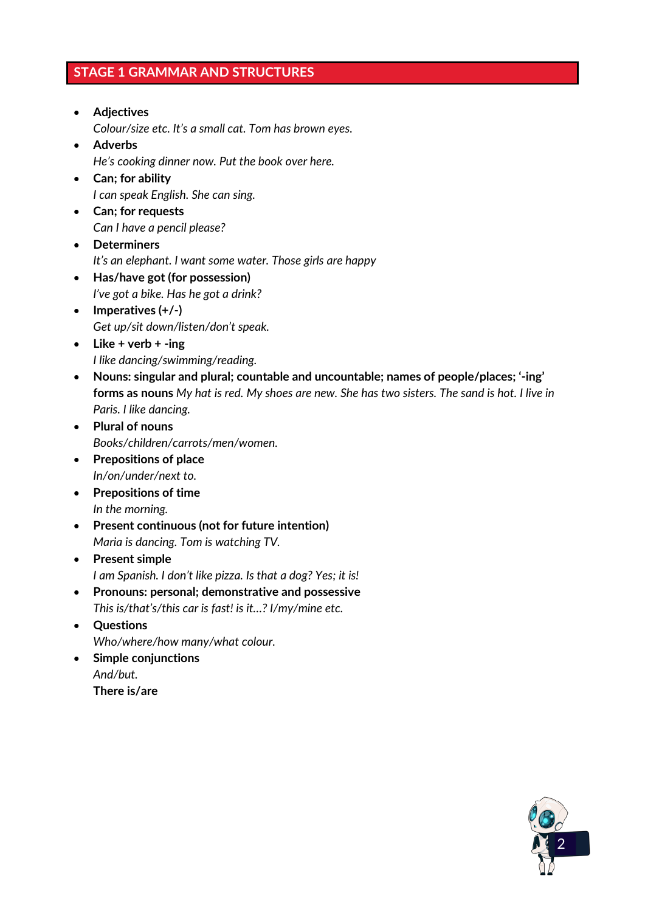### **STAGE 1 GRAMMAR AND STRUCTURES**

- x **Adjectives**  *Colour/size etc. It's a small cat. Tom has brown eyes.*  • Adverbs
	- *He's cooking dinner now. Put the book over here.*
- x **Can; for ability**  *I can speak English. She can sing.*
- x **Can; for requests**  *Can I have a pencil please?*
- x **Determiners** *It's an elephant. I want some water. Those girls are happy*
- x **Has/have got (for possession)**  *I've got a bike. Has he got a drink?*
- Imperatives (+/-) *Get up/sit down/listen/don't speak.*
- Like + verb + -ing *I like dancing/swimming/reading.*
- x **Nouns: singular and plural; countable and uncountable; names of people/places; '-ing' forms as nouns** *My hat is red. My shoes are new. She has two sisters. The sand is hot. I live in Paris. I like dancing.*
- x **Plural of nouns**  *Books/children/carrots/men/women.*
- **•** Prepositions of place *In/on/under/next to.*
- **•** Prepositions of time *In the morning.*
- **•** Present continuous (not for future intention) *Maria is dancing. Tom is watching TV.*
- **•** Present simple *I am Spanish. I don't like pizza. Is that a dog? Yes; it is!*
- x **Pronouns: personal; demonstrative and possessive**  *This is/that's/this car is fast! is it…? I/my/mine etc.*
- x **Questions**  *Who/where/how many/what colour.*
- **•** Simple conjunctions *And/but.* **There is/are**

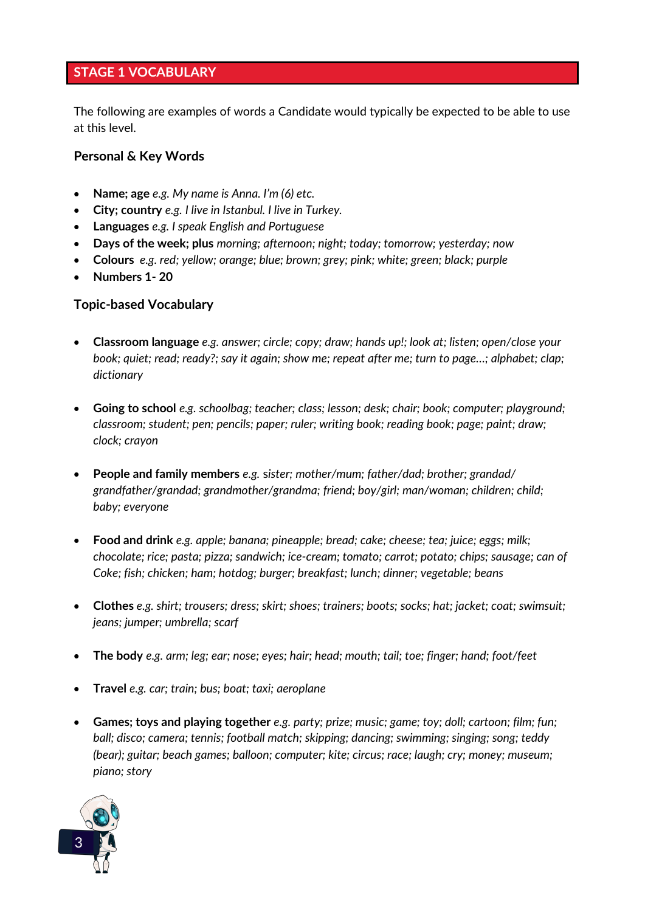## **STAGE 1 VOCABULARY**

The following are examples of words a Candidate would typically be expected to be able to use at this level.

#### **Personal & Key Words**

- x **Name; age** *e.g. My name is Anna. I'm (6) etc.*
- x **City; country** *e.g. I live in Istanbul. I live in Turkey.*
- x **Languages** *e.g. I speak English and Portuguese*
- x **Days of the week; plus** *morning; afternoon; night; today; tomorrow; yesterday; now*
- x **Colours** *e.g. red; yellow; orange; blue; brown; grey; pink; white; green; black; purple*
- x **Numbers 1- 20**

#### **Topic-based Vocabulary**

- x **Classroom language** *e.g. answer; circle; copy; draw; hands up!; look at; listen; open/close your book; quiet; read; ready?; say it again; show me; repeat after me; turn to page…; alphabet; clap; dictionary*
- x **Going to school** *e.g. schoolbag; teacher; class; lesson; desk; chair; book; computer; playground; classroom; student; pen; pencils; paper; ruler; writing book; reading book; page; paint; draw; clock; crayon*
- x **People and family members** *e.g.* s*ister; mother/mum; father/dad; brother; grandad/ grandfather/grandad; grandmother/grandma; friend; boy/girl; man/woman; children; child; baby; everyone*
- x **Food and drink** *e.g. apple; banana; pineapple; bread; cake; cheese; tea; juice; eggs; milk; chocolate; rice; pasta; pizza; sandwich; ice-cream; tomato; carrot; potato; chips; sausage; can of Coke; fish; chicken; ham; hotdog; burger; breakfast; lunch; dinner; vegetable; beans*
- x **Clothes** *e.g. shirt; trousers; dress; skirt; shoes; trainers; boots; socks; hat; jacket; coat; swimsuit; jeans; jumper; umbrella; scarf*
- x **The body** *e.g. arm; leg; ear; nose; eyes; hair; head; mouth; tail; toe; finger; hand; foot/feet*
- x **Travel** *e.g. car; train; bus; boat; taxi; aeroplane*
- x **Games; toys and playing together** *e.g. party; prize; music; game; toy; doll; cartoon; film; fun; ball; disco; camera; tennis; football match; skipping; dancing; swimming; singing; song; teddy (bear); guitar; beach games; balloon; computer; kite; circus; race; laugh; cry; money; museum; piano; story*